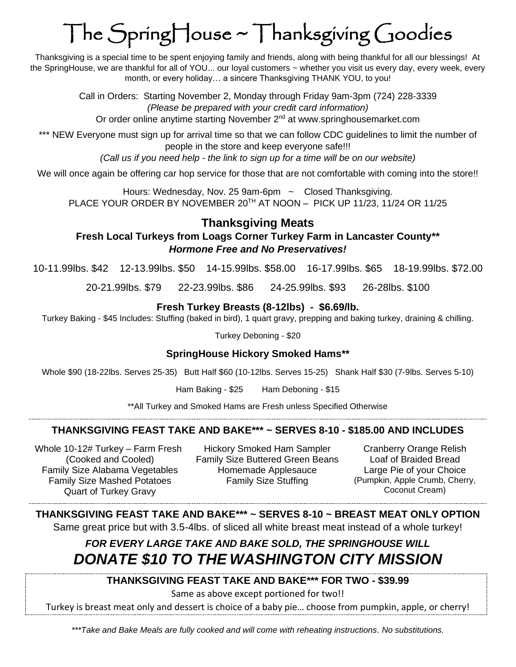# The SpringHouse ~ Thanksgiving Goodies

Thanksgiving is a special time to be spent enjoying family and friends, along with being thankful for all our blessings! At the SpringHouse, we are thankful for all of YOU... our loyal customers ~ whether you visit us every day, every week, every month, or every holiday… a sincere Thanksgiving THANK YOU, to you!

> Call in Orders: Starting November 2, Monday through Friday 9am-3pm (724) 228-3339 *(Please be prepared with your credit card information)* Or order online anytime starting November 2<sup>nd</sup> at www.springhousemarket.com

\*\*\* NEW Everyone must sign up for arrival time so that we can follow CDC guidelines to limit the number of people in the store and keep everyone safe!!!

*(Call us if you need help - the link to sign up for a time will be on our website)*

We will once again be offering car hop service for those that are not comfortable with coming into the store!!

Hours: Wednesday, Nov. 25 9am-6pm ~ Closed Thanksgiving. PLACE YOUR ORDER BY NOVEMBER 20TH AT NOON – PICK UP 11/23, 11/24 OR 11/25

### **Thanksgiving Meats**

#### **Fresh Local Turkeys from Loags Corner Turkey Farm in Lancaster County\*\*** *Hormone Free and No Preservatives!*

10-11.99lbs. \$42 12-13.99lbs. \$50 14-15.99lbs. \$58.00 16-17.99lbs. \$65 18-19.99lbs. \$72.00

20-21.99lbs. \$79 22-23.99lbs. \$86 24-25.99lbs. \$93 26-28lbs. \$100

#### **Fresh Turkey Breasts (8-12lbs) - \$6.69/lb.**

Turkey Baking - \$45 Includes: Stuffing (baked in bird), 1 quart gravy, prepping and baking turkey, draining & chilling.

Turkey Deboning - \$20

#### **SpringHouse Hickory Smoked Hams\*\***

Whole \$90 (18-22lbs. Serves 25-35) Butt Half \$60 (10-12lbs. Serves 15-25) Shank Half \$30 (7-9lbs. Serves 5-10)

Ham Baking - \$25 Ham Deboning - \$15

\*\*All Turkey and Smoked Hams are Fresh unless Specified Otherwise

#### **THANKSGIVING FEAST TAKE AND BAKE\*\*\* ~ SERVES 8-10 - \$185.00 AND INCLUDES**

Whole 10-12# Turkey – Farm Fresh (Cooked and Cooled) Family Size Mashed Potatoes Quart of Turkey Gravy

Hickory Smoked Ham Sampler Cranberry Orange Relish Family Size Buttered Green Beans Loaf of Braided Bread Family Size Alabama Vegetables Homemade Applesauce Large Pie of your Choice

Family Size Stuffing (Pumpkin, Apple Crumb, Cherry, Coconut Cream)

**THANKSGIVING FEAST TAKE AND BAKE\*\*\* ~ SERVES 8-10 ~ BREAST MEAT ONLY OPTION** Same great price but with 3.5-4lbs. of sliced all white breast meat instead of a whole turkey!

## *FOR EVERY LARGE TAKE AND BAKE SOLD, THE SPRINGHOUSE WILL DONATE \$10 TO THE WASHINGTON CITY MISSION*

#### **THANKSGIVING FEAST TAKE AND BAKE\*\*\* FOR TWO - \$39.99**

Same as above except portioned for two!!

Turkey is breast meat only and dessert is choice of a baby pie… choose from pumpkin, apple, or cherry!

*\*\*\*Take and Bake Meals are fully cooked and will come with reheating instructions. No substitutions.*